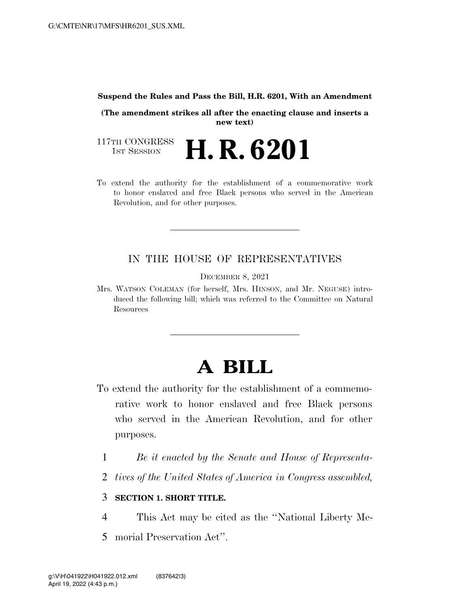#### **Suspend the Rules and Pass the Bill, H.R. 6201, With an Amendment**

**(The amendment strikes all after the enacting clause and inserts a new text)** 

117TH CONGRESS<br>1st Session H. R. 6201

To extend the authority for the establishment of a commemorative work to honor enslaved and free Black persons who served in the American Revolution, and for other purposes.

### IN THE HOUSE OF REPRESENTATIVES

DECEMBER 8, 2021

Mrs. WATSON COLEMAN (for herself, Mrs. HINSON, and Mr. NEGUSE) introduced the following bill; which was referred to the Committee on Natural Resources

# **A BILL**

- To extend the authority for the establishment of a commemorative work to honor enslaved and free Black persons who served in the American Revolution, and for other purposes.
	- 1 *Be it enacted by the Senate and House of Representa-*
	- 2 *tives of the United States of America in Congress assembled,*

#### 3 **SECTION 1. SHORT TITLE.**

- 4 This Act may be cited as the ''National Liberty Me-
- 5 morial Preservation Act''.